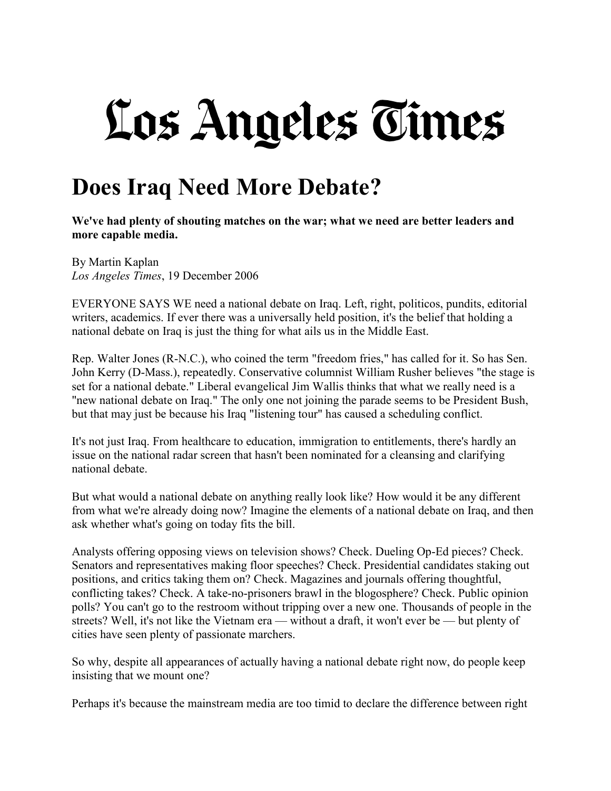## Los Angeles Times

## **Does Iraq Need More Debate?**

**We've had plenty of shouting matches on the war; what we need are better leaders and more capable media.**

By Martin Kaplan *Los Angeles Times*, 19 December 2006

EVERYONE SAYS WE need a national debate on Iraq. Left, right, politicos, pundits, editorial writers, academics. If ever there was a universally held position, it's the belief that holding a national debate on Iraq is just the thing for what ails us in the Middle East.

Rep. Walter Jones (R-N.C.), who coined the term "freedom fries," has called for it. So has Sen. John Kerry (D-Mass.), repeatedly. Conservative columnist William Rusher believes "the stage is set for a national debate." Liberal evangelical Jim Wallis thinks that what we really need is a "new national debate on Iraq." The only one not joining the parade seems to be President Bush, but that may just be because his Iraq "listening tour" has caused a scheduling conflict.

It's not just Iraq. From healthcare to education, immigration to entitlements, there's hardly an issue on the national radar screen that hasn't been nominated for a cleansing and clarifying national debate.

But what would a national debate on anything really look like? How would it be any different from what we're already doing now? Imagine the elements of a national debate on Iraq, and then ask whether what's going on today fits the bill.

Analysts offering opposing views on television shows? Check. Dueling Op-Ed pieces? Check. Senators and representatives making floor speeches? Check. Presidential candidates staking out positions, and critics taking them on? Check. Magazines and journals offering thoughtful, conflicting takes? Check. A take-no-prisoners brawl in the blogosphere? Check. Public opinion polls? You can't go to the restroom without tripping over a new one. Thousands of people in the streets? Well, it's not like the Vietnam era — without a draft, it won't ever be — but plenty of cities have seen plenty of passionate marchers.

So why, despite all appearances of actually having a national debate right now, do people keep insisting that we mount one?

Perhaps it's because the mainstream media are too timid to declare the difference between right